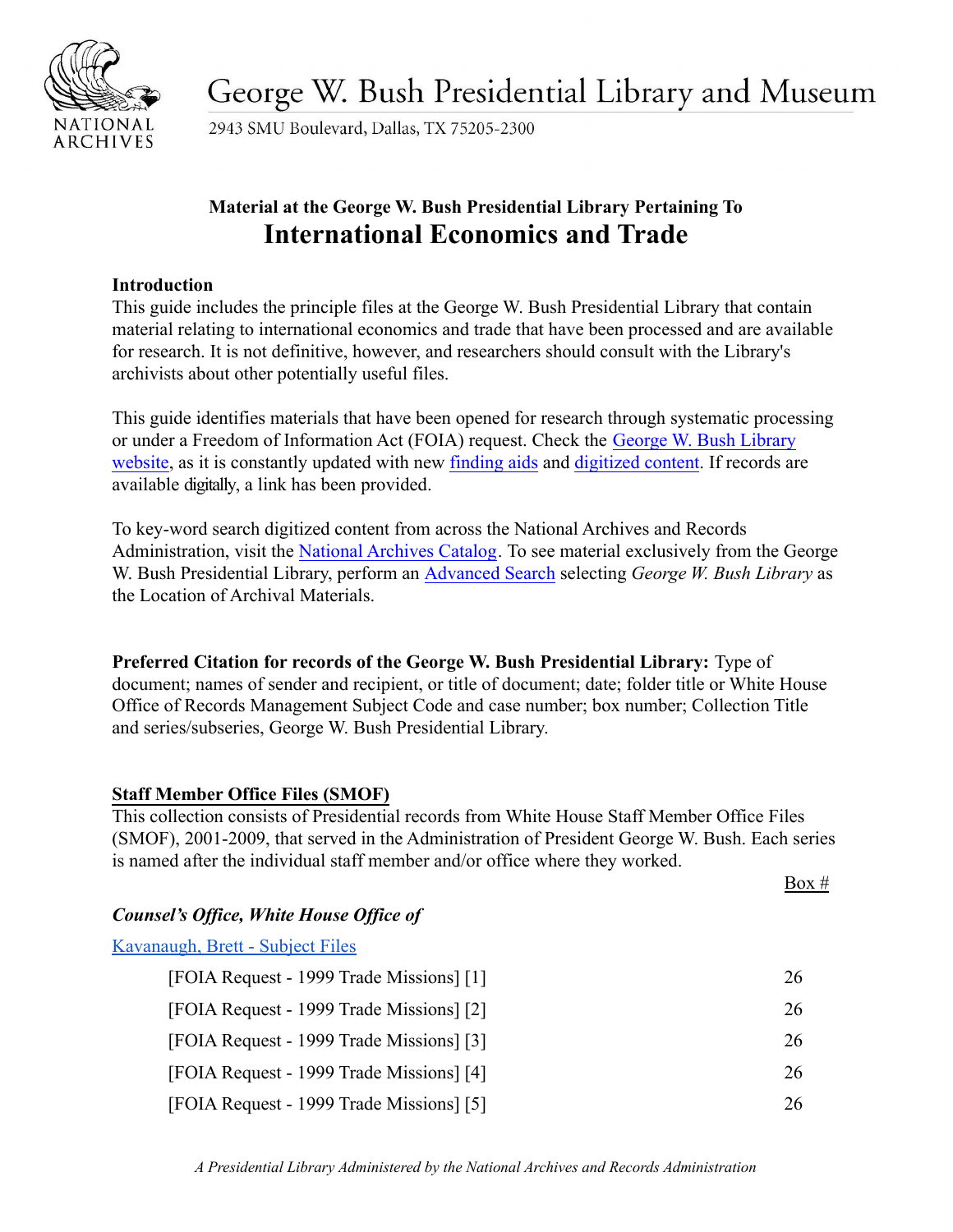

George W. Bush Presidential Library and Museum

2943 SMU Boulevard, Dallas, TX 75205-2300

# **Material at the George W. Bush Presidential Library Pertaining To International Economics and Trade**

# **Introduction**

This guide includes the principle files at the George W. Bush Presidential Library that contain material relating to international economics and trade that have been processed and are available for research. It is not definitive, however, and researchers should consult with the Library's archivists about other potentially useful files.

This guide identifies materials that have been opened for research through systematic processing or under a Freedom of Information Act (FOIA) request. Check the [George W. Bush Library](https://www.georgewbushlibrary.gov/) [website,](https://www.georgewbushlibrary.gov/) as it is constantly updated with new [finding](https://www.georgewbushlibrary.gov/research/finding-aids) aids and [digitized content.](https://www.georgewbushlibrary.gov/research/records-search) If records are available digitally, a link has been provided.

To key-word search digitized content from across the National Archives and Records Administration, visit the [National Archives Catalog](https://catalog.archives.gov/). To see material exclusively from the George W. Bush Presidential Library, perform an [Advanced](https://catalog.archives.gov/advancedsearch) Search selecting *George W. Bush Library* as the Location of Archival Materials.

**Preferred Citation for records of the George W. Bush Presidential Library:** Type of document; names of sender and recipient, or title of document; date; folder title or White House Office of Records Management Subject Code and case number; box number; Collection Title and series/subseries, George W. Bush Presidential Library.

# **Staff Member Office Files (SMOF)**

This collection consists of Presidential records from White House Staff Member Office Files (SMOF), 2001-2009, that served in the Administration of President George W. Bush. Each series is named after the individual staff member and/or office where they worked.

 $Box #$ 

# *Counsel's Office, White House Office of*

| Kavanaugh, Brett - Subject Files         |     |
|------------------------------------------|-----|
| [FOIA Request - 1999 Trade Missions] [1] | 26  |
| [FOIA Request - 1999 Trade Missions] [2] | 26. |
| [FOIA Request - 1999 Trade Missions] [3] | 26  |
| [FOIA Request - 1999 Trade Missions] [4] | 26. |
| [FOIA Request - 1999 Trade Missions] [5] | 26  |

*A Presidential Library Administered by the National Archives and Records Administration*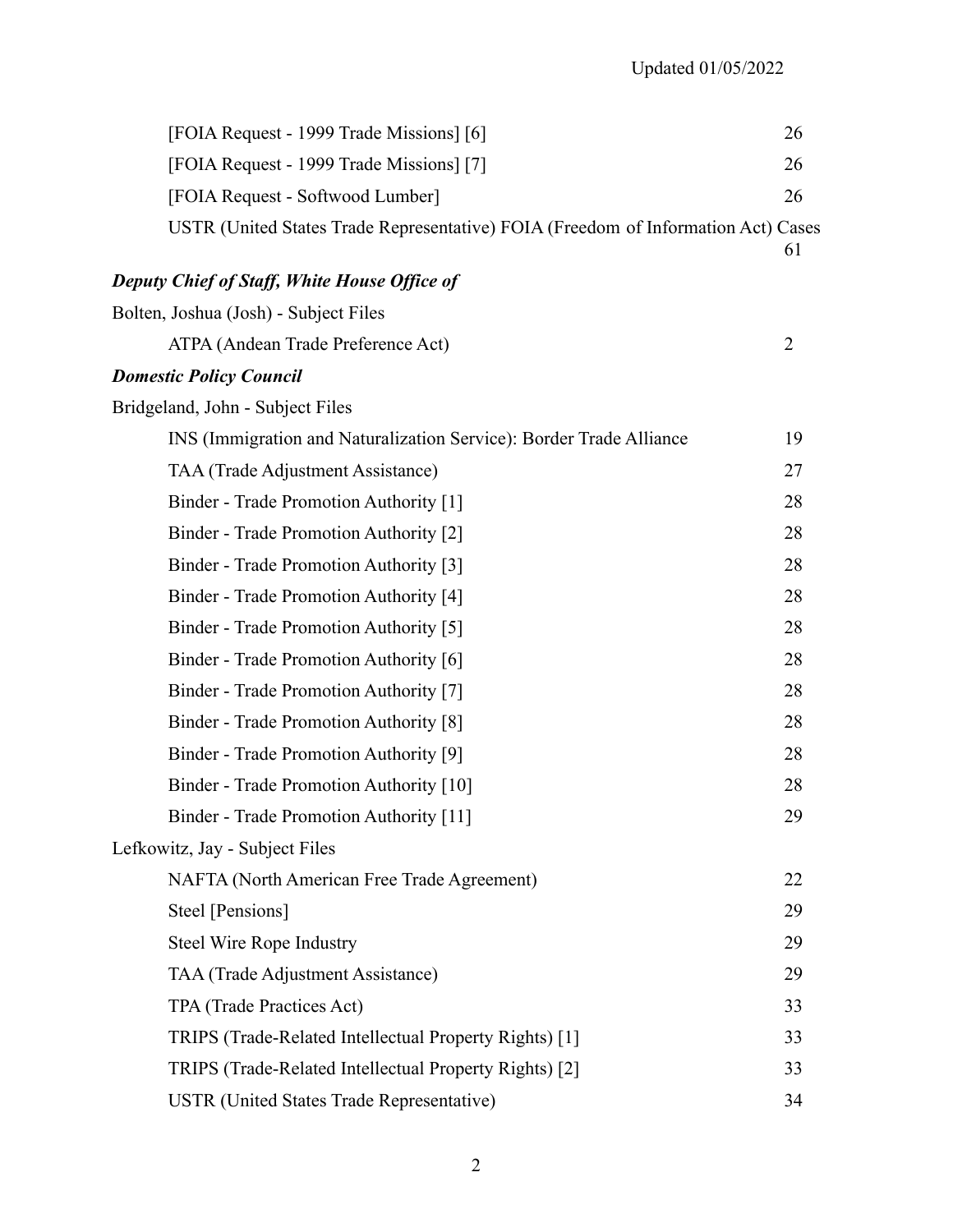| [FOIA Request - 1999 Trade Missions] [6]                                          | 26             |
|-----------------------------------------------------------------------------------|----------------|
| [FOIA Request - 1999 Trade Missions] [7]                                          | 26             |
| [FOIA Request - Softwood Lumber]                                                  | 26             |
| USTR (United States Trade Representative) FOIA (Freedom of Information Act) Cases | 61             |
| <b>Deputy Chief of Staff, White House Office of</b>                               |                |
| Bolten, Joshua (Josh) - Subject Files                                             |                |
| ATPA (Andean Trade Preference Act)                                                | $\overline{2}$ |
| <b>Domestic Policy Council</b>                                                    |                |
| Bridgeland, John - Subject Files                                                  |                |
| INS (Immigration and Naturalization Service): Border Trade Alliance               | 19             |
| TAA (Trade Adjustment Assistance)                                                 | 27             |
| Binder - Trade Promotion Authority [1]                                            | 28             |
| Binder - Trade Promotion Authority [2]                                            | 28             |
| Binder - Trade Promotion Authority [3]                                            | 28             |
| Binder - Trade Promotion Authority [4]                                            | 28             |
| Binder - Trade Promotion Authority [5]                                            | 28             |
| Binder - Trade Promotion Authority [6]                                            | 28             |
| Binder - Trade Promotion Authority [7]                                            | 28             |
| Binder - Trade Promotion Authority [8]                                            | 28             |
| Binder - Trade Promotion Authority [9]                                            | 28             |
| Binder - Trade Promotion Authority [10]                                           | 28             |
| Binder - Trade Promotion Authority [11]                                           | 29             |
| Lefkowitz, Jay - Subject Files                                                    |                |
| NAFTA (North American Free Trade Agreement)                                       | 22             |
| Steel [Pensions]                                                                  | 29             |
| <b>Steel Wire Rope Industry</b>                                                   | 29             |
| TAA (Trade Adjustment Assistance)                                                 | 29             |
| TPA (Trade Practices Act)                                                         | 33             |
| TRIPS (Trade-Related Intellectual Property Rights) [1]                            | 33             |
| TRIPS (Trade-Related Intellectual Property Rights) [2]                            | 33             |
| <b>USTR (United States Trade Representative)</b>                                  | 34             |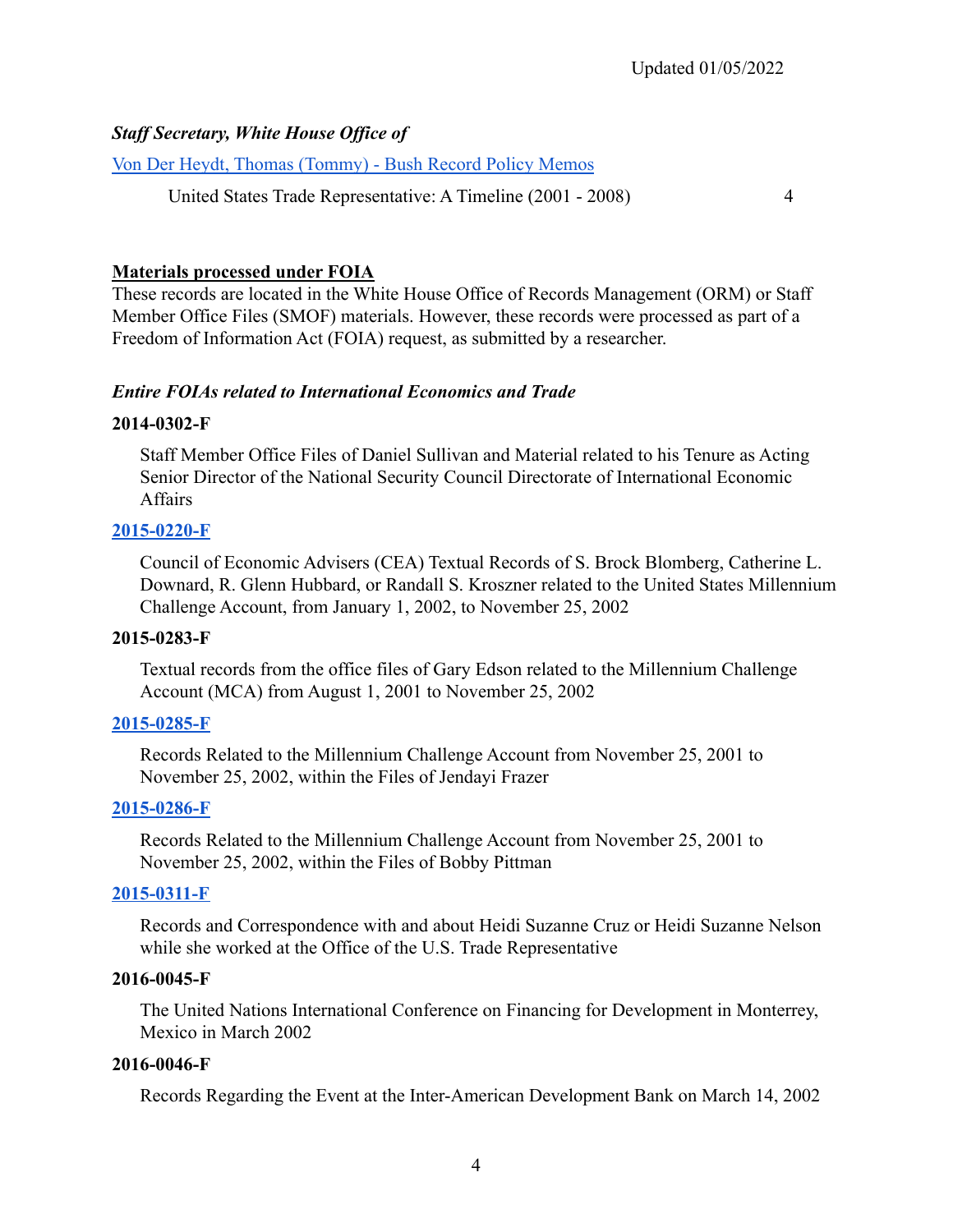# *Staff Secretary, White House Office of*

[Von Der Heydt, Thomas \(Tommy\) - Bush Record Policy Memos](https://www.georgewbushlibrary.gov/research/finding-aids/white-house-staff-member-office-files/staff-secretary-office-thomas-tommy-von-der-heydt-bush-record-policy-memos)

United States Trade Representative: A Timeline (2001 - 2008) 4

### **Materials processed under FOIA**

These records are located in the White House Office of Records Management (ORM) or Staff Member Office Files (SMOF) materials. However, these records were processed as part of a Freedom of Information Act (FOIA) request, as submitted by a researcher.

### *Entire FOIAs related to International Economics and Trade*

### **2014-0302-F**

Staff Member Office Files of Daniel Sullivan and Material related to his Tenure as Acting Senior Director of the National Security Council Directorate of International Economic **Affairs** 

### **[2015-0220-F](https://www.georgewbushlibrary.gov/research/finding-aids/foia-requests/2015-0220-f-council-economic-advisers-cea-textual-records-s-brock-blomberg-catherine-l-downard-r)**

Council of Economic Advisers (CEA) Textual Records of S. Brock Blomberg, Catherine L. Downard, R. Glenn Hubbard, or Randall S. Kroszner related to the United States Millennium Challenge Account, from January 1, 2002, to November 25, 2002

### **2015-0283-F**

Textual records from the office files of Gary Edson related to the Millennium Challenge Account (MCA) from August 1, 2001 to November 25, 2002

## **[2015-0285-F](https://www.georgewbushlibrary.gov/research/finding-aids/foia-requests/2015-0285-f-records-related-millennium-challenge-account-november-25-2001-november-25-2002-within)**

Records Related to the Millennium Challenge Account from November 25, 2001 to November 25, 2002, within the Files of Jendayi Frazer

## **[2015-0286-F](https://www.georgewbushlibrary.gov/research/finding-aids/foia-requests/2015-0286-f-records-related-millennium-challenge-account-november-25-2001-november-25-2002-within)**

Records Related to the Millennium Challenge Account from November 25, 2001 to November 25, 2002, within the Files of Bobby Pittman

### **[2015-0311-F](https://www.georgewbushlibrary.gov/research/finding-aids/foia-requests/2015-0311-f-records-and-correspondence-and-about-heidi-cruz-while-she-worked-office-us-trade)**

Records and Correspondence with and about Heidi Suzanne Cruz or Heidi Suzanne Nelson while she worked at the Office of the U.S. Trade Representative

### **2016-0045-F**

The United Nations International Conference on Financing for Development in Monterrey, Mexico in March 2002

### **2016-0046-F**

Records Regarding the Event at the Inter-American Development Bank on March 14, 2002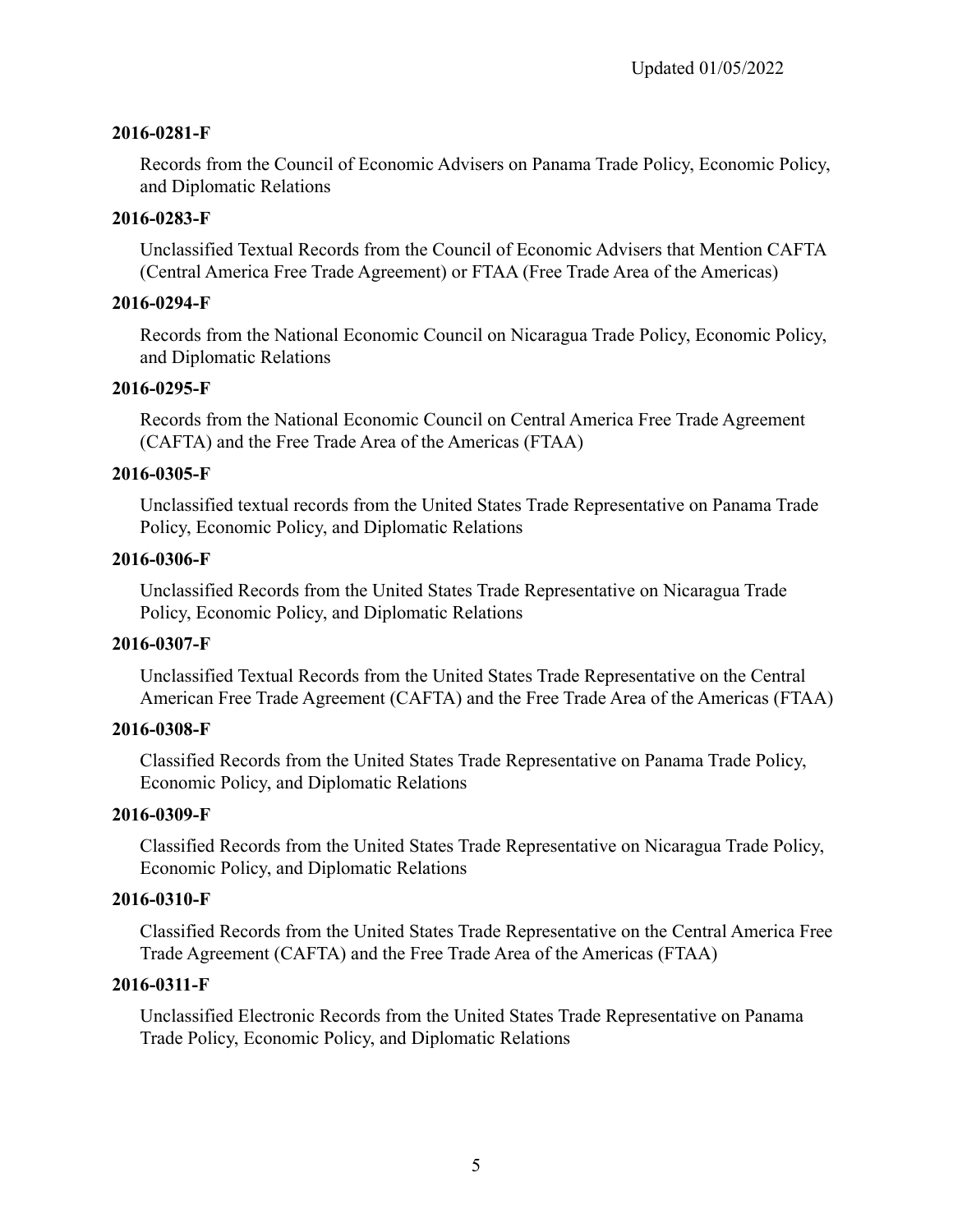# **2016-0281-F**

Records from the Council of Economic Advisers on Panama Trade Policy, Economic Policy, and Diplomatic Relations

# **2016-0283-F**

Unclassified Textual Records from the Council of Economic Advisers that Mention CAFTA (Central America Free Trade Agreement) or FTAA (Free Trade Area of the Americas)

# **2016-0294-F**

Records from the National Economic Council on Nicaragua Trade Policy, Economic Policy, and Diplomatic Relations

# **2016-0295-F**

Records from the National Economic Council on Central America Free Trade Agreement (CAFTA) and the Free Trade Area of the Americas (FTAA)

# **2016-0305-F**

Unclassified textual records from the United States Trade Representative on Panama Trade Policy, Economic Policy, and Diplomatic Relations

# **2016-0306-F**

Unclassified Records from the United States Trade Representative on Nicaragua Trade Policy, Economic Policy, and Diplomatic Relations

# **2016-0307-F**

Unclassified Textual Records from the United States Trade Representative on the Central American Free Trade Agreement (CAFTA) and the Free Trade Area of the Americas (FTAA)

# **2016-0308-F**

Classified Records from the United States Trade Representative on Panama Trade Policy, Economic Policy, and Diplomatic Relations

# **2016-0309-F**

Classified Records from the United States Trade Representative on Nicaragua Trade Policy, Economic Policy, and Diplomatic Relations

# **2016-0310-F**

Classified Records from the United States Trade Representative on the Central America Free Trade Agreement (CAFTA) and the Free Trade Area of the Americas (FTAA)

# **2016-0311-F**

Unclassified Electronic Records from the United States Trade Representative on Panama Trade Policy, Economic Policy, and Diplomatic Relations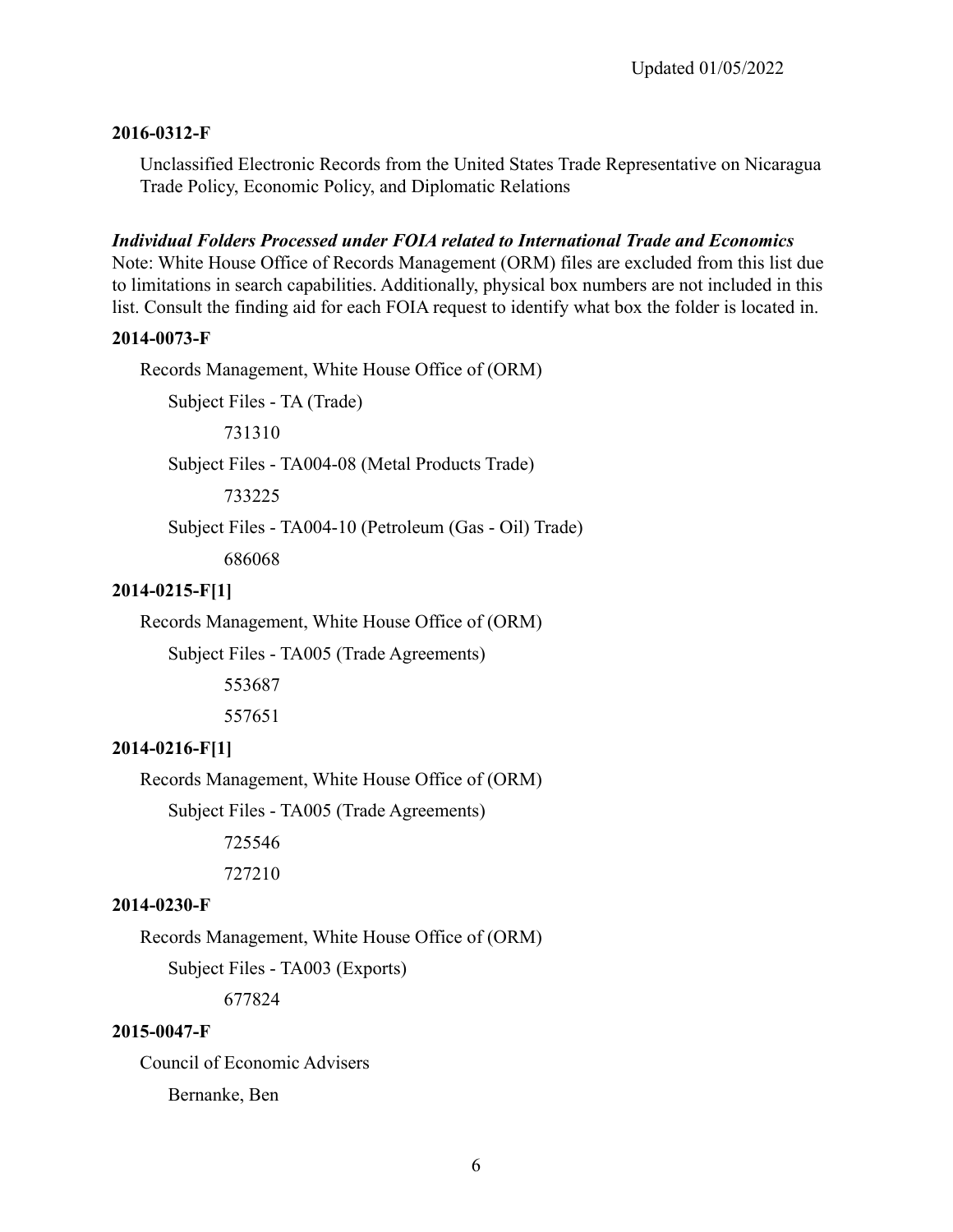### **2016-0312-F**

Unclassified Electronic Records from the United States Trade Representative on Nicaragua Trade Policy, Economic Policy, and Diplomatic Relations

### *Individual Folders Processed under FOIA related to International Trade and Economics*

Note: White House Office of Records Management (ORM) files are excluded from this list due to limitations in search capabilities. Additionally, physical box numbers are not included in this list. Consult the finding aid for each FOIA request to identify what box the folder is located in.

#### **2014-0073-F**

Records Management, White House Office of (ORM)

Subject Files - TA (Trade)

731310

Subject Files - TA004-08 (Metal Products Trade)

733225

Subject Files - TA004-10 (Petroleum (Gas - Oil) Trade)

686068

# **2014-0215-F[1]**

Records Management, White House Office of (ORM)

Subject Files - TA005 (Trade Agreements)

553687

557651

### **2014-0216-F[1]**

Records Management, White House Office of (ORM)

Subject Files - TA005 (Trade Agreements)

725546

727210

#### **2014-0230-F**

Records Management, White House Office of (ORM)

Subject Files - TA003 (Exports)

677824

### **2015-0047-F**

Council of Economic Advisers Bernanke, Ben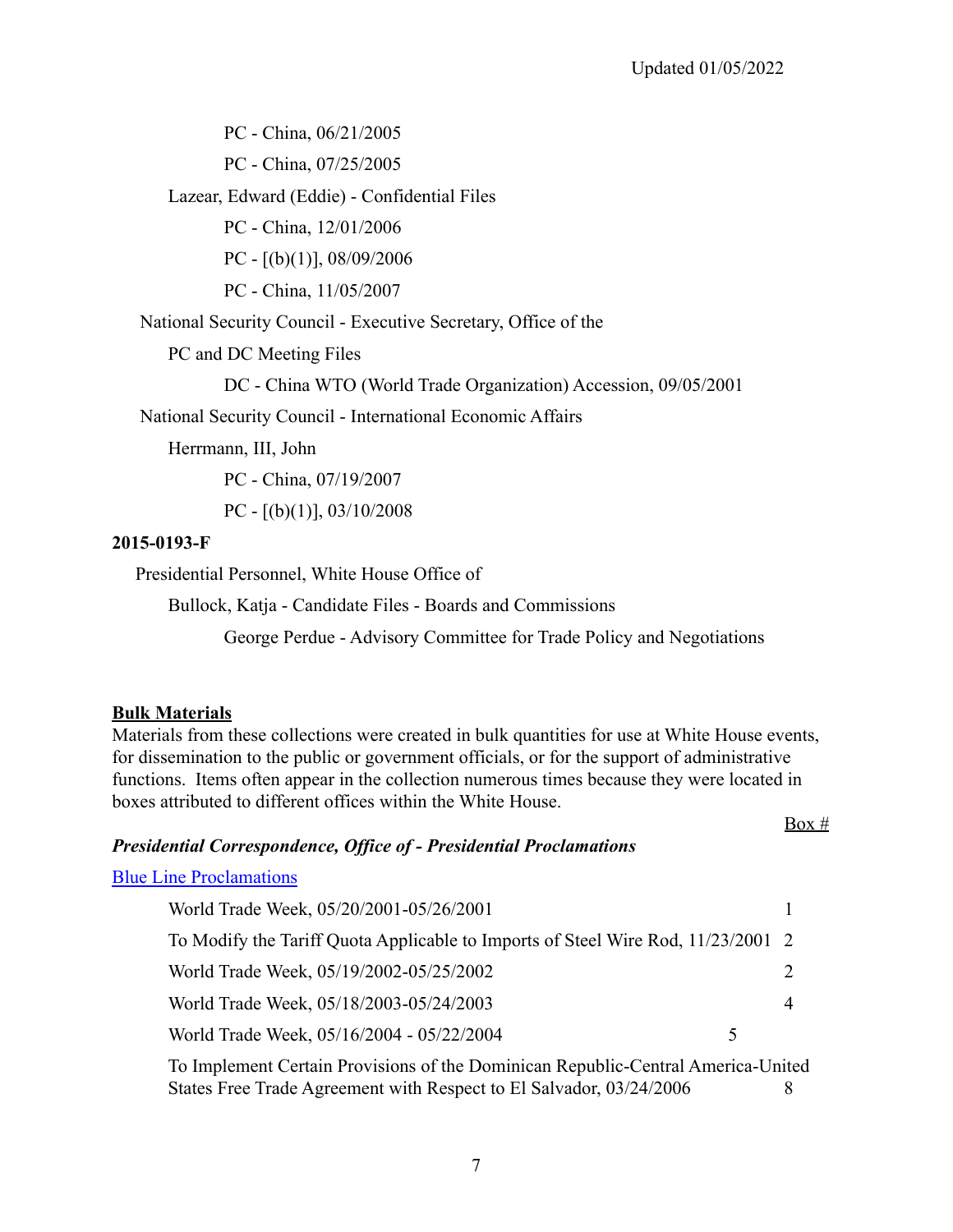$Box #$ 

PC - China, 06/21/2005

PC - China, 07/25/2005

Lazear, Edward (Eddie) - Confidential Files

PC - China, 12/01/2006

PC - [(b)(1)], 08/09/2006

PC - China, 11/05/2007

National Security Council - Executive Secretary, Office of the

PC and DC Meeting Files

DC - China WTO (World Trade Organization) Accession, 09/05/2001

National Security Council - International Economic Affairs

Herrmann, III, John

PC - China, 07/19/2007

PC -  $[(b)(1)]$ , 03/10/2008

### **2015-0193-F**

Presidential Personnel, White House Office of

Bullock, Katja - Candidate Files - Boards and Commissions

George Perdue - Advisory Committee for Trade Policy and Negotiations

## **Bulk Materials**

Materials from these collections were created in bulk quantities for use at White House events, for dissemination to the public or government officials, or for the support of administrative functions. Items often appear in the collection numerous times because they were located in boxes attributed to different offices within the White House.

## *Presidential Correspondence, Office of - Presidential Proclamations*

### [Blue Line Proclamations](https://www.georgewbushlibrary.gov/research/finding-aids/white-house-staff-member-office-files/blue-line-proclamations)

| World Trade Week, 05/20/2001-05/26/2001                                          |  |
|----------------------------------------------------------------------------------|--|
| To Modify the Tariff Quota Applicable to Imports of Steel Wire Rod, 11/23/2001 2 |  |
| World Trade Week, 05/19/2002-05/25/2002                                          |  |
| World Trade Week, 05/18/2003-05/24/2003                                          |  |
| World Trade Week, 05/16/2004 - 05/22/2004<br>↖                                   |  |
| TI LOLIN'I CIN'IN 11' OL 14'                                                     |  |

To Implement Certain Provisions of the Dominican Republic-Central America-United States Free Trade Agreement with Respect to El Salvador, 03/24/2006 8